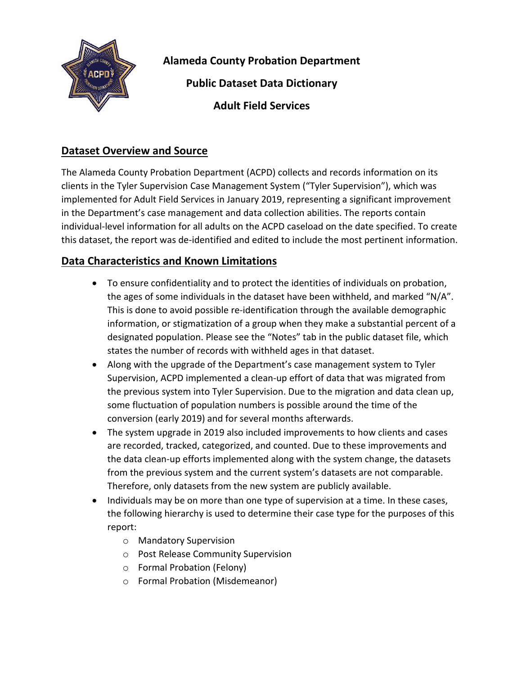

**Alameda County Probation Department Public Dataset Data Dictionary**

**Adult Field Services**

## **Dataset Overview and Source**

The Alameda County Probation Department (ACPD) collects and records information on its clients in the Tyler Supervision Case Management System ("Tyler Supervision"), which was implemented for Adult Field Services in January 2019, representing a significant improvement in the Department's case management and data collection abilities. The reports contain individual-level information for all adults on the ACPD caseload on the date specified. To create this dataset, the report was de-identified and edited to include the most pertinent information.

## **Data Characteristics and Known Limitations**

- To ensure confidentiality and to protect the identities of individuals on probation, the ages of some individuals in the dataset have been withheld, and marked "N/A". This is done to avoid possible re-identification through the available demographic information, or stigmatization of a group when they make a substantial percent of a designated population. Please see the "Notes" tab in the public dataset file, which states the number of records with withheld ages in that dataset.
- Along with the upgrade of the Department's case management system to Tyler Supervision, ACPD implemented a clean-up effort of data that was migrated from the previous system into Tyler Supervision. Due to the migration and data clean up, some fluctuation of population numbers is possible around the time of the conversion (early 2019) and for several months afterwards.
- The system upgrade in 2019 also included improvements to how clients and cases are recorded, tracked, categorized, and counted. Due to these improvements and the data clean-up efforts implemented along with the system change, the datasets from the previous system and the current system's datasets are not comparable. Therefore, only datasets from the new system are publicly available.
- Individuals may be on more than one type of supervision at a time. In these cases, the following hierarchy is used to determine their case type for the purposes of this report:
	- o Mandatory Supervision
	- o Post Release Community Supervision
	- o Formal Probation (Felony)
	- o Formal Probation (Misdemeanor)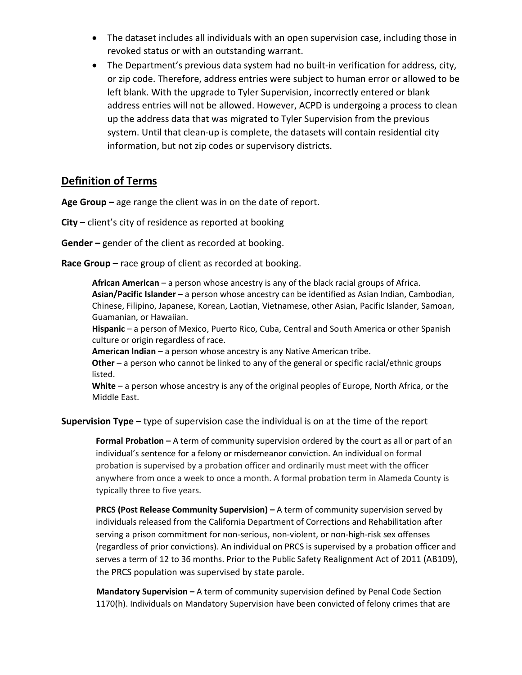- The dataset includes all individuals with an open supervision case, including those in revoked status or with an outstanding warrant.
- The Department's previous data system had no built-in verification for address, city, or zip code. Therefore, address entries were subject to human error or allowed to be left blank. With the upgrade to Tyler Supervision, incorrectly entered or blank address entries will not be allowed. However, ACPD is undergoing a process to clean up the address data that was migrated to Tyler Supervision from the previous system. Until that clean-up is complete, the datasets will contain residential city information, but not zip codes or supervisory districts.

## **Definition of Terms**

**Age Group –** age range the client was in on the date of report.

**City –** client's city of residence as reported at booking

**Gender –** gender of the client as recorded at booking.

**Race Group –** race group of client as recorded at booking.

**African American** – a person whose ancestry is any of the black racial groups of Africa. **Asian/Pacific Islander** – a person whose ancestry can be identified as Asian Indian, Cambodian, Chinese, Filipino, Japanese, Korean, Laotian, Vietnamese, other Asian, Pacific Islander, Samoan, Guamanian, or Hawaiian.

**Hispanic** – a person of Mexico, Puerto Rico, Cuba, Central and South America or other Spanish culture or origin regardless of race.

**American Indian** – a person whose ancestry is any Native American tribe.

**Other** – a person who cannot be linked to any of the general or specific racial/ethnic groups listed.

**White** – a person whose ancestry is any of the original peoples of Europe, North Africa, or the Middle East.

**Supervision Type –** type of supervision case the individual is on at the time of the report

**Formal Probation –** A term of community supervision ordered by the court as all or part of an individual's sentence for a felony or misdemeanor conviction. An individual on formal probation is supervised by a probation officer and ordinarily must meet with the officer anywhere from once a week to once a month. A formal probation term in Alameda County is typically three to five years.

**PRCS (Post Release Community Supervision) –** A term of community supervision served by individuals released from the California Department of Corrections and Rehabilitation after serving a prison commitment for non-serious, non-violent, or non-high-risk sex offenses (regardless of prior convictions). An individual on PRCS is supervised by a probation officer and serves a term of 12 to 36 months. Prior to the Public Safety Realignment Act of 2011 (AB109), the PRCS population was supervised by state parole.

**Mandatory Supervision –** A term of community supervision defined by Penal Code Section 1170(h). Individuals on Mandatory Supervision have been convicted of felony crimes that are